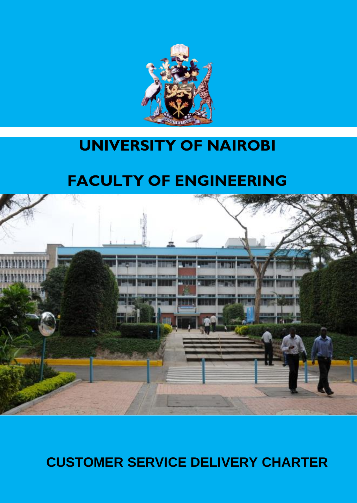

# **UNIVERSITY OF NAIROBI**

## **FACULTY OF ENGINEERING**



**CUSTOMER SERVICE DELIVERY CHARTER**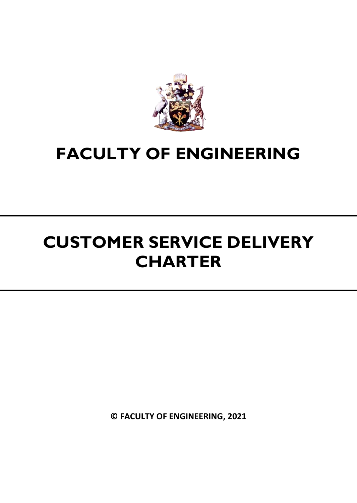

# **FACULTY OF ENGINEERING**

# **CUSTOMER SERVICE DELIVERY CHARTER**

**© FACULTY OF ENGINEERING, 2021**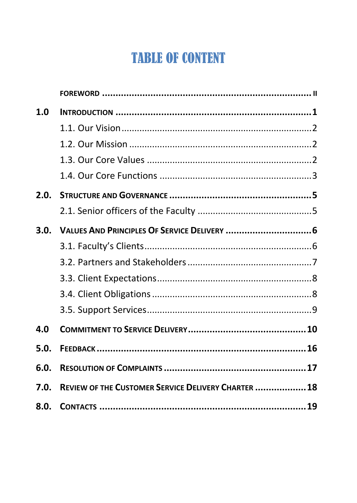## **TABLE OF CONTENT**

| 1.0  |                                                     |  |
|------|-----------------------------------------------------|--|
|      |                                                     |  |
|      |                                                     |  |
|      |                                                     |  |
|      |                                                     |  |
| 2.0. |                                                     |  |
|      |                                                     |  |
| 3.0. |                                                     |  |
|      |                                                     |  |
|      |                                                     |  |
|      |                                                     |  |
|      |                                                     |  |
|      |                                                     |  |
| 4.0  |                                                     |  |
| 5.0. |                                                     |  |
| 6.0. |                                                     |  |
| 7.0. | REVIEW OF THE CUSTOMER SERVICE DELIVERY CHARTER  18 |  |
| 8.0. |                                                     |  |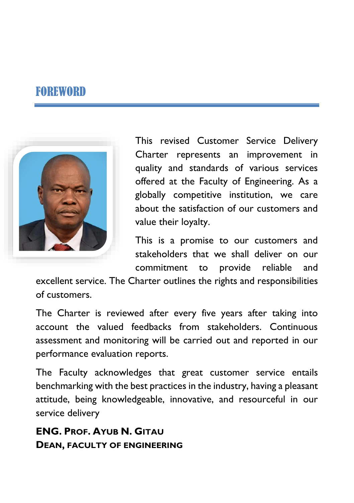### <span id="page-3-0"></span>**FOREWORD**



This revised Customer Service Delivery Charter represents an improvement in quality and standards of various services offered at the Faculty of Engineering. As a globally competitive institution, we care about the satisfaction of our customers and value their loyalty.

This is a promise to our customers and stakeholders that we shall deliver on our commitment to provide reliable and

excellent service. The Charter outlines the rights and responsibilities of customers.

The Charter is reviewed after every five years after taking into account the valued feedbacks from stakeholders. Continuous assessment and monitoring will be carried out and reported in our performance evaluation reports.

The Faculty acknowledges that great customer service entails benchmarking with the best practices in the industry, having a pleasant attitude, being knowledgeable, innovative, and resourceful in our service delivery

**ENG. PROF. AYUB N. GITAU DEAN, FACULTY OF ENGINEERING**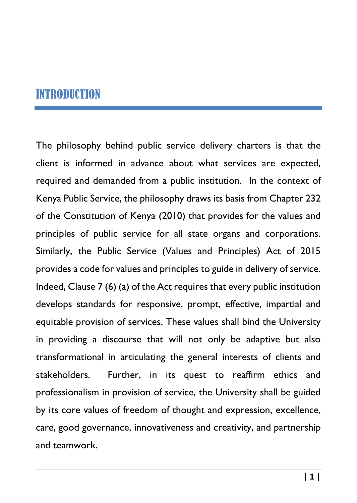#### <span id="page-4-0"></span>**INTRODUCTION**

The philosophy behind public service delivery charters is that the client is informed in advance about what services are expected, required and demanded from a public institution. In the context of Kenya Public Service, the philosophy draws its basis from Chapter 232 of the Constitution of Kenya (2010) that provides for the values and principles of public service for all state organs and corporations. Similarly, the Public Service (Values and Principles) Act of 2015 provides a code for values and principles to guide in delivery of service. Indeed, Clause 7 (6) (a) of the Act requires that every public institution develops standards for responsive, prompt, effective, impartial and equitable provision of services. These values shall bind the University in providing a discourse that will not only be adaptive but also transformational in articulating the general interests of clients and stakeholders. Further, in its quest to reaffirm ethics and professionalism in provision of service, the University shall be guided by its core values of freedom of thought and expression, excellence, care, good governance, innovativeness and creativity, and partnership and teamwork.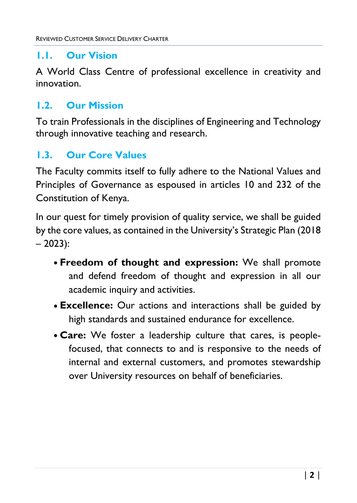#### <span id="page-5-0"></span>**1.1. Our Vision**

<span id="page-5-1"></span>A World Class Centre of professional excellence in creativity and innovation.

#### **1.2. Our Mission**

<span id="page-5-2"></span>To train Professionals in the disciplines of Engineering and Technology through innovative teaching and research.

#### **1.3. Our Core Values**

The Faculty commits itself to fully adhere to the National Values and Principles of Governance as espoused in articles 10 and 232 of the Constitution of Kenya.

In our quest for timely provision of quality service, we shall be guided by the core values, as contained in the University's Strategic Plan (2018  $-2023$ :

- **Freedom of thought and expression:** We shall promote and defend freedom of thought and expression in all our academic inquiry and activities.
- **Excellence:** Our actions and interactions shall be guided by high standards and sustained endurance for excellence.
- **Care:** We foster a leadership culture that cares, is peoplefocused, that connects to and is responsive to the needs of internal and external customers, and promotes stewardship over University resources on behalf of beneficiaries.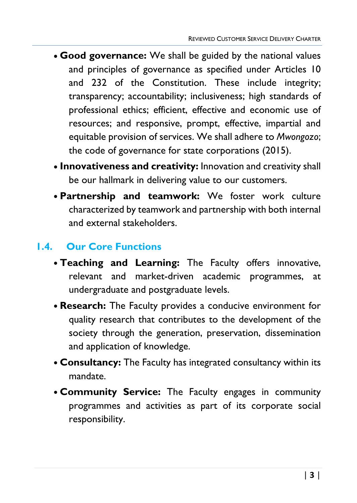- **Good governance:** We shall be guided by the national values and principles of governance as specified under Articles 10 and 232 of the Constitution. These include integrity; transparency; accountability; inclusiveness; high standards of professional ethics; efficient, effective and economic use of resources; and responsive, prompt, effective, impartial and equitable provision of services. We shall adhere to *Mwongozo*; the code of governance for state corporations (2015).
- **Innovativeness and creativity:** Innovation and creativity shall be our hallmark in delivering value to our customers.
- **Partnership and teamwork:** We foster work culture characterized by teamwork and partnership with both internal and external stakeholders.

#### <span id="page-6-0"></span>**1.4. Our Core Functions**

- **Teaching and Learning:** The Faculty offers innovative, relevant and market-driven academic programmes, at undergraduate and postgraduate levels.
- **Research:** The Faculty provides a conducive environment for quality research that contributes to the development of the society through the generation, preservation, dissemination and application of knowledge.
- **Consultancy:** The Faculty has integrated consultancy within its mandate.
- **Community Service:** The Faculty engages in community programmes and activities as part of its corporate social responsibility.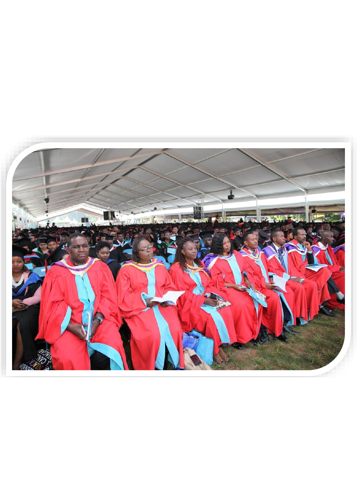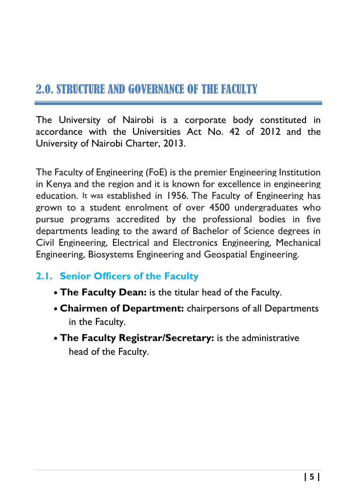#### <span id="page-10-0"></span>2.0. STRUCTURE AND GOVERNANCE OF THE FACULTY

The University of Nairobi is a corporate body constituted in accordance with the Universities Act No. 42 of 2012 and the University of Nairobi Charter, 2013.

The Faculty of Engineering (FoE) is the premier Engineering Institution in Kenya and the region and it is known for excellence in engineering education. It was established in 1956. The Faculty of Engineering has grown to a student enrolment of over 4500 undergraduates who pursue programs accredited by the professional bodies in five departments leading to the award of Bachelor of Science degrees in Civil Engineering, Electrical and Electronics Engineering, Mechanical Engineering, Biosystems Engineering and Geospatial Engineering.

#### <span id="page-10-1"></span>**2.1. Senior Officers of the Faculty**

- **The Faculty Dean:** is the titular head of the Faculty.
- **Chairmen of Department:** chairpersons of all Departments in the Faculty.
- **The Faculty Registrar/Secretary:** is the administrative head of the Faculty.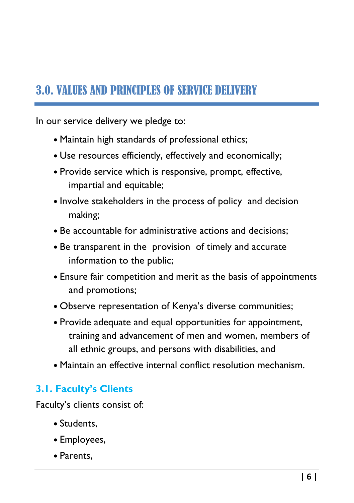#### <span id="page-11-0"></span>3.0. VALUES AND PRINCIPLES OF SERVICE DELIVERY

In our service delivery we pledge to:

- Maintain high standards of professional ethics;
- Use resources efficiently, effectively and economically;
- Provide service which is responsive, prompt, effective, impartial and equitable;
- Involve stakeholders in the process of policy and decision making;
- Be accountable for administrative actions and decisions;
- Be transparent in the provision of timely and accurate information to the public;
- Ensure fair competition and merit as the basis of appointments and promotions;
- Observe representation of Kenya's diverse communities;
- Provide adequate and equal opportunities for appointment, training and advancement of men and women, members of all ethnic groups, and persons with disabilities, and
- Maintain an effective internal conflict resolution mechanism.

#### <span id="page-11-1"></span>**3.1. Faculty's Clients**

Faculty's clients consist of:

- Students,
- Employees,
- Parents,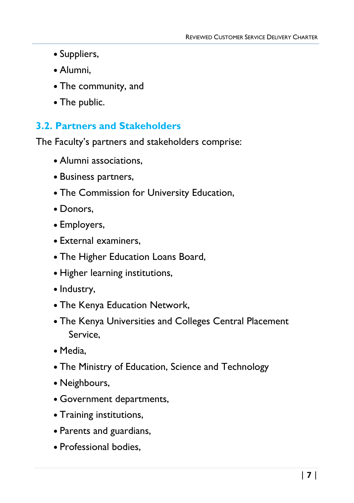- Suppliers,
- Alumni,
- The community, and
- The public.

#### <span id="page-12-0"></span>**3.2. Partners and Stakeholders**

The Faculty's partners and stakeholders comprise:

- Alumni associations,
- Business partners,
- The Commission for University Education,
- Donors,
- Employers,
- External examiners,
- The Higher Education Loans Board,
- Higher learning institutions,
- Industry,
- The Kenya Education Network,
- The Kenya Universities and Colleges Central Placement Service,
- Media,
- The Ministry of Education, Science and Technology
- Neighbours,
- Government departments,
- Training institutions,
- Parents and guardians,
- Professional bodies,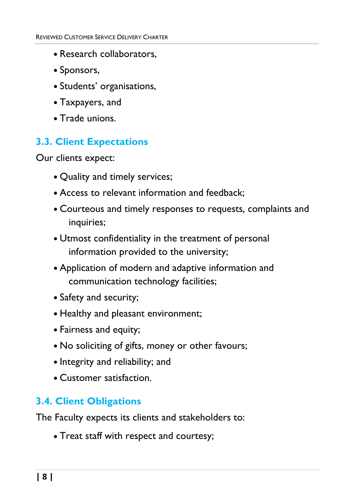- Research collaborators,
- Sponsors,
- Students' organisations,
- Taxpayers, and
- Trade unions.

#### <span id="page-13-0"></span>**3.3. Client Expectations**

Our clients expect:

- Quality and timely services;
- Access to relevant information and feedback;
- Courteous and timely responses to requests, complaints and inquiries;
- Utmost confidentiality in the treatment of personal information provided to the university;
- Application of modern and adaptive information and communication technology facilities;
- Safety and security;
- Healthy and pleasant environment;
- Fairness and equity;
- No soliciting of gifts, money or other favours;
- Integrity and reliability; and
- Customer satisfaction.

#### <span id="page-13-1"></span>**3.4. Client Obligations**

The Faculty expects its clients and stakeholders to:

Treat staff with respect and courtesy;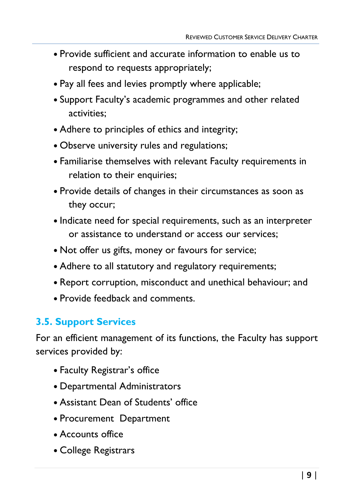- Provide sufficient and accurate information to enable us to respond to requests appropriately;
- Pay all fees and levies promptly where applicable;
- Support Faculty's academic programmes and other related activities;
- Adhere to principles of ethics and integrity;
- Observe university rules and regulations;
- Familiarise themselves with relevant Faculty requirements in relation to their enquiries;
- Provide details of changes in their circumstances as soon as they occur;
- Indicate need for special requirements, such as an interpreter or assistance to understand or access our services;
- Not offer us gifts, money or favours for service;
- Adhere to all statutory and regulatory requirements;
- Report corruption, misconduct and unethical behaviour; and
- Provide feedback and comments.

#### <span id="page-14-0"></span>**3.5. Support Services**

For an efficient management of its functions, the Faculty has support services provided by:

- Faculty Registrar's office
- Departmental Administrators
- Assistant Dean of Students' office
- Procurement Department
- Accounts office
- College Registrars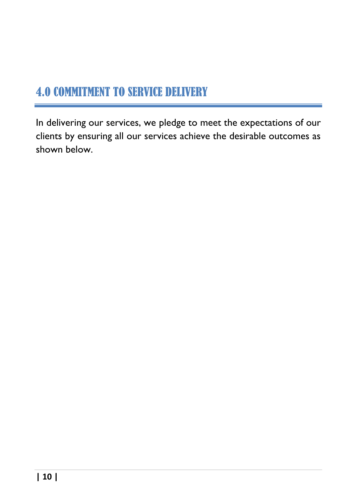<span id="page-15-0"></span>In delivering our services, we pledge to meet the expectations of our clients by ensuring all our services achieve the desirable outcomes as shown below.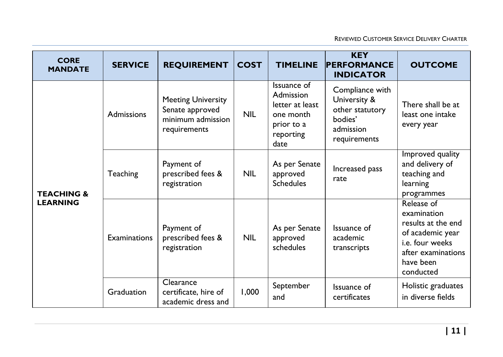| <b>CORE</b><br><b>MANDATE</b> | <b>SERVICE</b>                                                  | <b>REQUIREMENT</b>                                                                | <b>COST</b>                            | <b>TIMELINE</b>                                                                             | <b>KEY</b><br><b>PERFORMANCE</b><br><b>INDICATOR</b>                                                                                   | <b>OUTCOME</b>                                                                |
|-------------------------------|-----------------------------------------------------------------|-----------------------------------------------------------------------------------|----------------------------------------|---------------------------------------------------------------------------------------------|----------------------------------------------------------------------------------------------------------------------------------------|-------------------------------------------------------------------------------|
|                               | Admissions                                                      | <b>Meeting University</b><br>Senate approved<br>minimum admission<br>requirements | <b>NIL</b>                             | Issuance of<br>Admission<br>letter at least<br>one month<br>prior to a<br>reporting<br>date | Compliance with<br>University &<br>other statutory<br>bodies'<br>admission<br>requirements                                             | There shall be at<br>least one intake<br>every year                           |
| <b>TEACHING &amp;</b>         | Teaching                                                        | Payment of<br>prescribed fees &<br>registration                                   | <b>NIL</b>                             | As per Senate<br>approved<br><b>Schedules</b>                                               | Increased pass<br>rate                                                                                                                 | Improved quality<br>and delivery of<br>teaching and<br>learning<br>programmes |
| <b>LEARNING</b>               | Payment of<br>prescribed fees &<br>Examinations<br>registration | <b>NIL</b>                                                                        | As per Senate<br>approved<br>schedules | Issuance of<br>academic<br>transcripts                                                      | Release of<br>examination<br>results at the end<br>of academic year<br>i.e. four weeks<br>after examinations<br>have been<br>conducted |                                                                               |
|                               | Graduation                                                      | Clearance<br>certificate, hire of<br>academic dress and                           | 1,000                                  | September<br>and                                                                            | Issuance of<br>certificates                                                                                                            | Holistic graduates<br>in diverse fields                                       |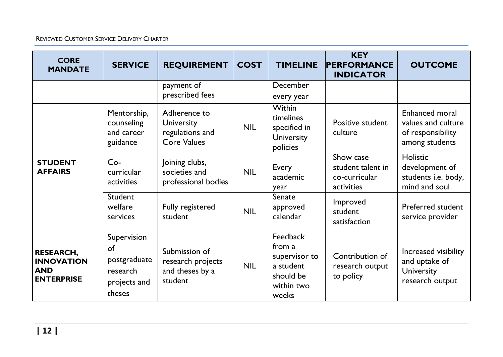| <b>CORE</b><br><b>MANDATE</b>                                            | <b>SERVICE</b>                                                          | <b>REQUIREMENT</b>                                               | <b>COST</b> | <b>TIMELINE</b>                                                                      | <b>KEY</b><br><b>PERFORMANCE</b><br><b>INDICATOR</b>          | <b>OUTCOME</b>                                                              |
|--------------------------------------------------------------------------|-------------------------------------------------------------------------|------------------------------------------------------------------|-------------|--------------------------------------------------------------------------------------|---------------------------------------------------------------|-----------------------------------------------------------------------------|
|                                                                          |                                                                         | payment of<br>prescribed fees                                    |             | December<br>every year                                                               |                                                               |                                                                             |
|                                                                          | Mentorship,<br>counseling<br>and career<br>guidance                     | Adherence to<br>University<br>regulations and<br>Core Values     | <b>NIL</b>  | Within<br>timelines<br>specified in<br>University<br>policies                        | Positive student.<br>culture                                  | Enhanced moral<br>values and culture<br>of responsibility<br>among students |
| <b>STUDENT</b><br><b>AFFAIRS</b>                                         | $Co-$<br>curricular<br>activities                                       | Joining clubs,<br>societies and<br>professional bodies           | <b>NIL</b>  | Every<br>academic<br>year                                                            | Show case<br>student talent in<br>co-curricular<br>activities | Holistic<br>development of<br>students i.e. body,<br>mind and soul          |
|                                                                          | Student<br>welfare<br>services                                          | Fully registered<br>student                                      | <b>NIL</b>  | Senate<br>approved<br>calendar                                                       | Improved<br>student<br>satisfaction                           | Preferred student<br>service provider                                       |
| <b>RESEARCH,</b><br><b>INNOVATION</b><br><b>AND</b><br><b>ENTERPRISE</b> | Supervision<br>of<br>postgraduate<br>research<br>projects and<br>theses | Submission of<br>research projects<br>and theses by a<br>student | <b>NIL</b>  | Feedback<br>from a<br>supervisor to<br>a student<br>should be<br>within two<br>weeks | Contribution of<br>research output<br>to policy               | Increased visibility<br>and uptake of<br>University<br>research output      |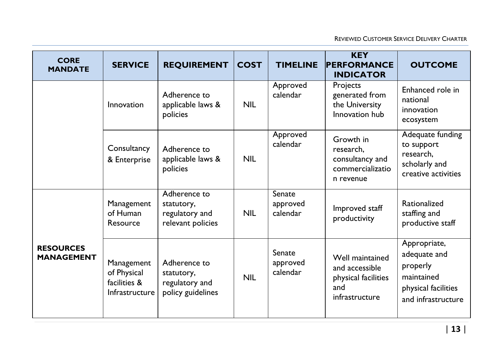| <b>CORE</b><br><b>MANDATE</b>         | <b>SERVICE</b>                                                     | <b>REQUIREMENT</b>                                                | <b>COST</b> | <b>TIMELINE</b>                | <b>KEY</b><br><b>PERFORMANCE</b><br><b>INDICATOR</b>                              | <b>OUTCOME</b>                                                                                      |
|---------------------------------------|--------------------------------------------------------------------|-------------------------------------------------------------------|-------------|--------------------------------|-----------------------------------------------------------------------------------|-----------------------------------------------------------------------------------------------------|
|                                       | Innovation                                                         | Adherence to<br>applicable laws &<br>policies                     | <b>NIL</b>  | Approved<br>calendar           | Projects<br>generated from<br>the University<br>Innovation hub                    | Enhanced role in<br>national<br>innovation<br>ecosystem                                             |
|                                       | Consultancy<br>& Enterprise                                        | Adherence to<br>applicable laws &<br>policies                     | <b>NIL</b>  | Approved<br>calendar           | Growth in<br>research.<br>consultancy and<br>commercializatio<br>n revenue        | Adequate funding<br>to support<br>research,<br>scholarly and<br>creative activities                 |
|                                       | Management<br>of Human<br>Resource                                 | Adherence to<br>statutory,<br>regulatory and<br>relevant policies | <b>NIL</b>  | Senate<br>approved<br>calendar | Improved staff<br>productivity                                                    | Rationalized<br>staffing and<br>productive staff                                                    |
| <b>RESOURCES</b><br><b>MANAGEMENT</b> | Management<br>of Physical<br>facilities &<br><b>Infrastructure</b> | Adherence to<br>statutory,<br>regulatory and<br>policy guidelines | <b>NIL</b>  | Senate<br>approved<br>calendar | Well maintained<br>and accessible<br>physical facilities<br>and<br>infrastructure | Appropriate,<br>adequate and<br>properly<br>maintained<br>physical facilities<br>and infrastructure |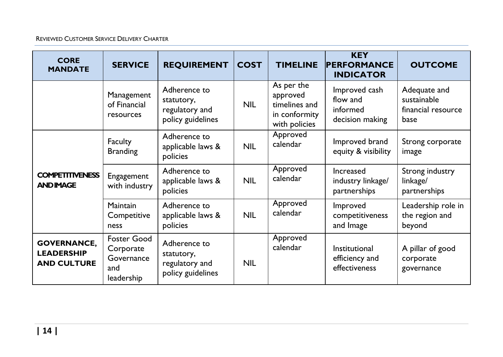| <b>CORE</b><br><b>MANDATE</b>                                 | <b>SERVICE</b>                                              | <b>REQUIREMENT</b>                                                | <b>COST</b> | <b>TIMELINE</b>                                                           | <b>KEY</b><br><b>PERFORMANCE</b><br><b>INDICATOR</b>     | <b>OUTCOME</b>                                            |
|---------------------------------------------------------------|-------------------------------------------------------------|-------------------------------------------------------------------|-------------|---------------------------------------------------------------------------|----------------------------------------------------------|-----------------------------------------------------------|
|                                                               | Management<br>of Financial<br>resources                     | Adherence to<br>statutory,<br>regulatory and<br>policy guidelines | <b>NIL</b>  | As per the<br>approved<br>timelines and<br>in conformity<br>with policies | Improved cash<br>flow and<br>informed<br>decision making | Adequate and<br>sustainable<br>financial resource<br>base |
|                                                               | Faculty<br><b>Branding</b>                                  | Adherence to<br>applicable laws &<br>policies                     | <b>NIL</b>  | Approved<br>calendar                                                      | Improved brand<br>equity & visibility                    | Strong corporate<br>image                                 |
| <b>COMPETITIVENESS</b><br><b>AND IMAGE</b>                    | Engagement<br>with industry                                 | Adherence to<br>applicable laws &<br>policies                     | <b>NIL</b>  | Approved<br>calendar                                                      | Increased<br>industry linkage/<br>partnerships           | Strong industry<br>linkage/<br>partnerships               |
|                                                               | Maintain<br>Competitive<br>ness                             | Adherence to<br>applicable laws &<br>policies                     | <b>NIL</b>  | Approved<br>calendar                                                      | Improved<br>competitiveness<br>and Image                 | Leadership role in<br>the region and<br>beyond            |
| <b>GOVERNANCE,</b><br><b>LEADERSHIP</b><br><b>AND CULTURE</b> | Foster Good<br>Corporate<br>Governance<br>and<br>leadership | Adherence to<br>statutory,<br>regulatory and<br>policy guidelines | <b>NIL</b>  | Approved<br>calendar                                                      | Institutional<br>efficiency and<br>effectiveness         | A pillar of good<br>corporate<br>governance               |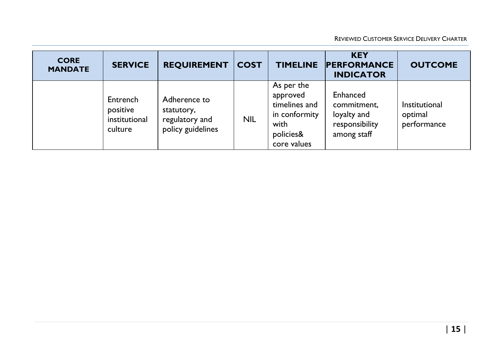| <b>CORE</b><br><b>MANDATE</b> | <b>SERVICE</b>                                          | <b>REQUIREMENT</b>                                                | <b>COST</b> | <b>TIMELINE</b>                                                                              | <b>KEY</b><br><b>PERFORMANCE</b><br><b>INDICATOR</b>                    | <b>OUTCOME</b>                          |
|-------------------------------|---------------------------------------------------------|-------------------------------------------------------------------|-------------|----------------------------------------------------------------------------------------------|-------------------------------------------------------------------------|-----------------------------------------|
|                               | <b>Entrench</b><br>positive<br>institutional<br>culture | Adherence to<br>statutory,<br>regulatory and<br>policy guidelines | <b>NIL</b>  | As per the<br>approved<br>timelines and<br>in conformity<br>with<br>policies&<br>core values | Enhanced<br>commitment.<br>loyalty and<br>responsibility<br>among staff | Institutional<br>optimal<br>performance |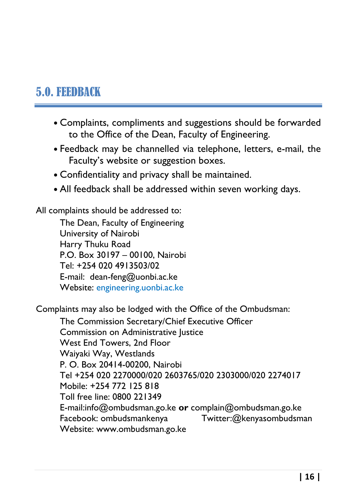#### <span id="page-21-0"></span>5.0. FEEDBACK

- Complaints, compliments and suggestions should be forwarded to the Office of the Dean, Faculty of Engineering.
- Feedback may be channelled via telephone, letters, e-mail, the Faculty's website or suggestion boxes.
- Confidentiality and privacy shall be maintained.
- All feedback shall be addressed within seven working days.

All complaints should be addressed to:

The Dean, Faculty of Engineering University of Nairobi Harry Thuku Road P.O. Box 30197 – 00100, Nairobi Tel: +254 020 4913503/02 E-mail: dean-feng@uonbi.ac.ke Website: engineering.uonbi.ac.ke

Complaints may also be lodged with the Office of the Ombudsman:

The Commission Secretary/Chief Executive Officer Commission on Administrative Justice West End Towers, 2nd Floor Waiyaki Way, Westlands P. O. Box 20414-00200, Nairobi Tel +254 020 2270000/020 2603765/020 2303000/020 2274017 Mobile: +254 772 125 818 Toll free line: 0800 221349 E-mail:info@ombudsman.go.ke **or** complain@ombudsman.go.ke Facebook: ombudsmankenya Twitter:@kenyasombudsman Website: www.ombudsman.go.ke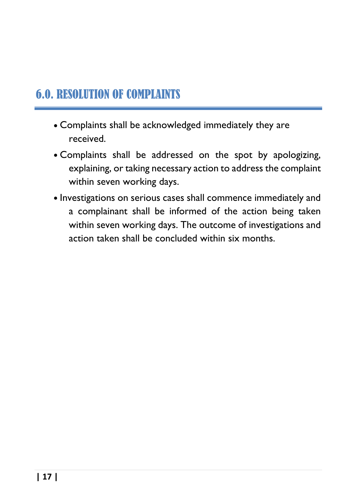#### <span id="page-22-0"></span>6.0. RESOLUTION OF COMPLAINTS

- Complaints shall be acknowledged immediately they are received.
- Complaints shall be addressed on the spot by apologizing, explaining, or taking necessary action to address the complaint within seven working days.
- Investigations on serious cases shall commence immediately and a complainant shall be informed of the action being taken within seven working days. The outcome of investigations and action taken shall be concluded within six months.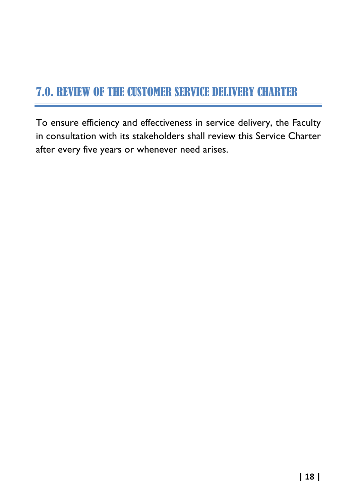<span id="page-23-0"></span>To ensure efficiency and effectiveness in service delivery, the Faculty in consultation with its stakeholders shall review this Service Charter after every five years or whenever need arises.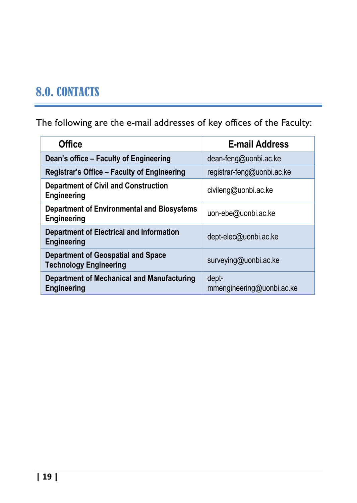### <span id="page-24-0"></span>8.0. CONTACTS

The following are the e-mail addresses of key offices of the Faculty:

| <b>Office</b>                                                              | <b>E-mail Address</b>              |
|----------------------------------------------------------------------------|------------------------------------|
| Dean's office – Faculty of Engineering                                     | dean-feng@uonbi.ac.ke              |
| Registrar's Office - Faculty of Engineering                                | registrar-feng@uonbi.ac.ke         |
| <b>Department of Civil and Construction</b><br><b>Engineering</b>          | civileng@uonbi.ac.ke               |
| <b>Department of Environmental and Biosystems</b><br><b>Engineering</b>    | uon-ebe@uonbi.ac.ke                |
| <b>Department of Electrical and Information</b><br><b>Engineering</b>      | dept-elec@uonbi.ac.ke              |
| <b>Department of Geospatial and Space</b><br><b>Technology Engineering</b> | surveying@uonbi.ac.ke              |
| <b>Department of Mechanical and Manufacturing</b><br><b>Engineering</b>    | dept-<br>mmengineering@uonbi.ac.ke |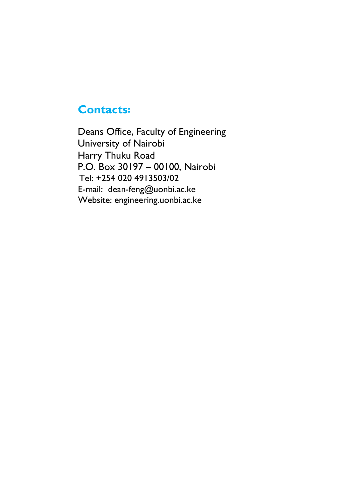#### **Contacts:**

Deans Office, Faculty of Engineering University of Nairobi Harry Thuku Road P.O. Box 30197 – 00100, Nairobi Tel: +254 020 4913503/02 E-mail: dean-feng@uonbi.ac.ke Website: engineering.uonbi.ac.ke